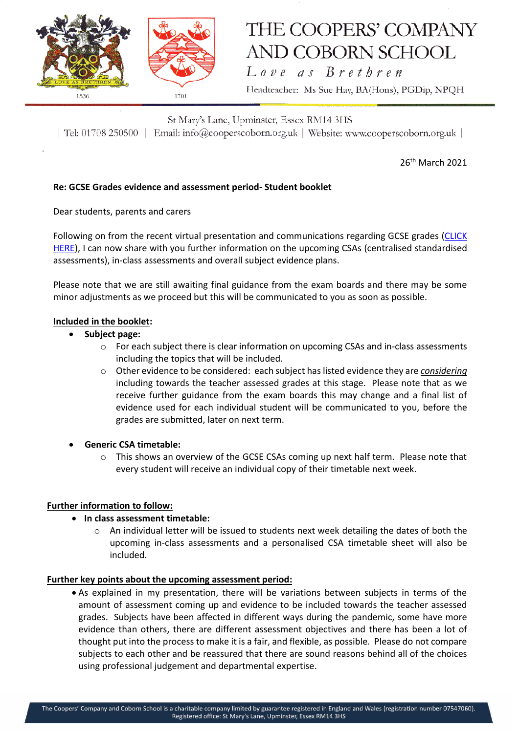

# THE COOPERS' COMPANY **AND COBORN SCHOOL**

Love as Brethren Headteacher: Ms Sue Hay, BA(Hons), PGDip, NPQH

St Mary's Lane, Upminster, Essex RM14 3HS | Tel: 01708 250500 | Email: info@cooperscoborn.org.uk | Website: www.cooperscoborn.org.uk |

26<sup>th</sup> March 2021

# **Re: GCSE Grades evidence and assessment period- Student booklet**

Dear students, parents and carers

Following on from the recent virtual presentation and communications regarding GCSE grades [\(CLICK](https://drive.google.com/file/d/1n3O2mwNTFwOslnsJcMqxJXmVj7Smi48B/view?usp=sharing)  [HERE\)](https://drive.google.com/file/d/1n3O2mwNTFwOslnsJcMqxJXmVj7Smi48B/view?usp=sharing), I can now share with you further information on the upcoming CSAs (centralised standardised assessments), in-class assessments and overall subject evidence plans.

Please note that we are still awaiting final guidance from the exam boards and there may be some minor adjustments as we proceed but this will be communicated to you as soon as possible.

#### **Included in the booklet:**

#### **Subject page:**

- o For each subject there is clear information on upcoming CSAs and in-class assessments including the topics that will be included.
- o Other evidence to be considered: each subject has listed evidence they are *considering* including towards the teacher assessed grades at this stage. Please note that as we receive further guidance from the exam boards this may change and a final list of evidence used for each individual student will be communicated to you, before the grades are submitted, later on next term.
- **Generic CSA timetable:**
	- $\circ$  This shows an overview of the GCSE CSAs coming up next half term. Please note that every student will receive an individual copy of their timetable next week.

#### **Further information to follow:**

#### **In class assessment timetable:**

 $\circ$  An individual letter will be issued to students next week detailing the dates of both the upcoming in-class assessments and a personalised CSA timetable sheet will also be included.

#### **Further key points about the upcoming assessment period:**

 As explained in my presentation, there will be variations between subjects in terms of the amount of assessment coming up and evidence to be included towards the teacher assessed grades. Subjects have been affected in different ways during the pandemic, some have more evidence than others, there are different assessment objectives and there has been a lot of thought put into the process to make it is a fair, and flexible, as possible. Please do not compare subjects to each other and be reassured that there are sound reasons behind all of the choices using professional judgement and departmental expertise.